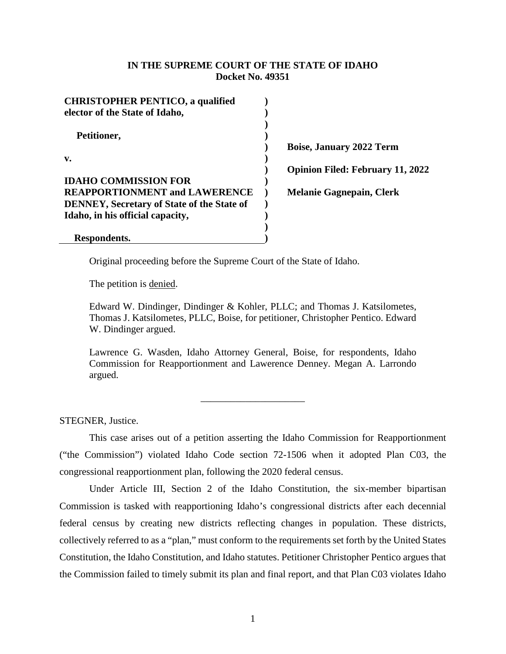## **IN THE SUPREME COURT OF THE STATE OF IDAHO Docket No. 49351**

| <b>CHRISTOPHER PENTICO, a qualified</b>           |  |
|---------------------------------------------------|--|
| elector of the State of Idaho,                    |  |
|                                                   |  |
| Petitioner,                                       |  |
|                                                   |  |
| v.                                                |  |
|                                                   |  |
| <b>IDAHO COMMISSION FOR</b>                       |  |
| <b>REAPPORTIONMENT and LAWERENCE</b>              |  |
| <b>DENNEY, Secretary of State of the State of</b> |  |
| Idaho, in his official capacity,                  |  |
|                                                   |  |
| Respondents.                                      |  |

**Boise, January 2022 Term Opinion Filed: February 11, 2022 Melanie Gagnepain, Clerk**

Original proceeding before the Supreme Court of the State of Idaho.

The petition is <u>denied</u>.

Edward W. Dindinger, Dindinger & Kohler, PLLC; and Thomas J. Katsilometes, Thomas J. Katsilometes, PLLC, Boise, for petitioner, Christopher Pentico. Edward W. Dindinger argued.

Lawrence G. Wasden, Idaho Attorney General, Boise, for respondents, Idaho Commission for Reapportionment and Lawerence Denney. Megan A. Larrondo argued.

\_\_\_\_\_\_\_\_\_\_\_\_\_\_\_\_\_\_\_\_\_

STEGNER, Justice.

This case arises out of a petition asserting the Idaho Commission for Reapportionment ("the Commission") violated Idaho Code section 72-1506 when it adopted Plan C03, the congressional reapportionment plan, following the 2020 federal census.

Under Article III, Section 2 of the Idaho Constitution, the six-member bipartisan Commission is tasked with reapportioning Idaho's congressional districts after each decennial federal census by creating new districts reflecting changes in population. These districts, collectively referred to as a "plan," must conform to the requirements set forth by the United States Constitution, the Idaho Constitution, and Idaho statutes. Petitioner Christopher Pentico argues that the Commission failed to timely submit its plan and final report, and that Plan C03 violates Idaho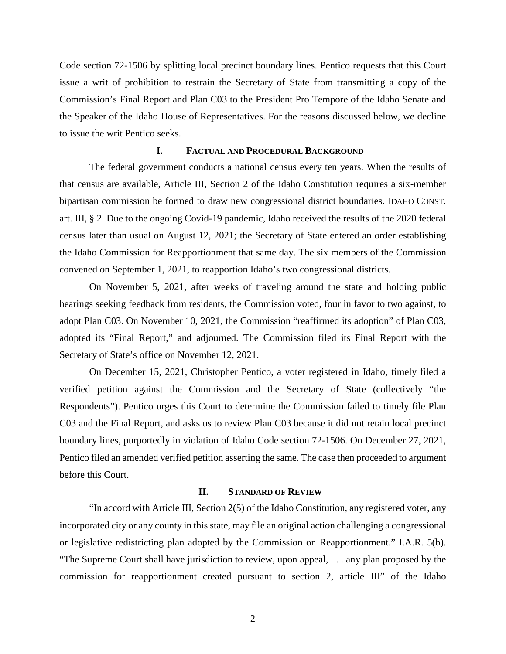Code section 72-1506 by splitting local precinct boundary lines. Pentico requests that this Court issue a writ of prohibition to restrain the Secretary of State from transmitting a copy of the Commission's Final Report and Plan C03 to the President Pro Tempore of the Idaho Senate and the Speaker of the Idaho House of Representatives. For the reasons discussed below, we decline to issue the writ Pentico seeks.

#### **I. FACTUAL AND PROCEDURAL BACKGROUND**

The federal government conducts a national census every ten years. When the results of that census are available, Article III, Section 2 of the Idaho Constitution requires a six-member bipartisan commission be formed to draw new congressional district boundaries. IDAHO CONST. art. III, § 2. Due to the ongoing Covid-19 pandemic, Idaho received the results of the 2020 federal census later than usual on August 12, 2021; the Secretary of State entered an order establishing the Idaho Commission for Reapportionment that same day. The six members of the Commission convened on September 1, 2021, to reapportion Idaho's two congressional districts.

On November 5, 2021, after weeks of traveling around the state and holding public hearings seeking feedback from residents, the Commission voted, four in favor to two against, to adopt Plan C03. On November 10, 2021, the Commission "reaffirmed its adoption" of Plan C03, adopted its "Final Report," and adjourned. The Commission filed its Final Report with the Secretary of State's office on November 12, 2021.

On December 15, 2021, Christopher Pentico, a voter registered in Idaho, timely filed a verified petition against the Commission and the Secretary of State (collectively "the Respondents"). Pentico urges this Court to determine the Commission failed to timely file Plan C03 and the Final Report, and asks us to review Plan C03 because it did not retain local precinct boundary lines, purportedly in violation of Idaho Code section 72-1506. On December 27, 2021, Pentico filed an amended verified petition asserting the same. The case then proceeded to argument before this Court.

## **II. STANDARD OF REVIEW**

"In accord with Article III, Section 2(5) of the Idaho Constitution, any registered voter, any incorporated city or any county in this state, may file an original action challenging a congressional or legislative redistricting plan adopted by the Commission on Reapportionment." I.A.R. 5(b). "The Supreme Court shall have jurisdiction to review, upon appeal, . . . any plan proposed by the commission for reapportionment created pursuant to section 2, article III" of the Idaho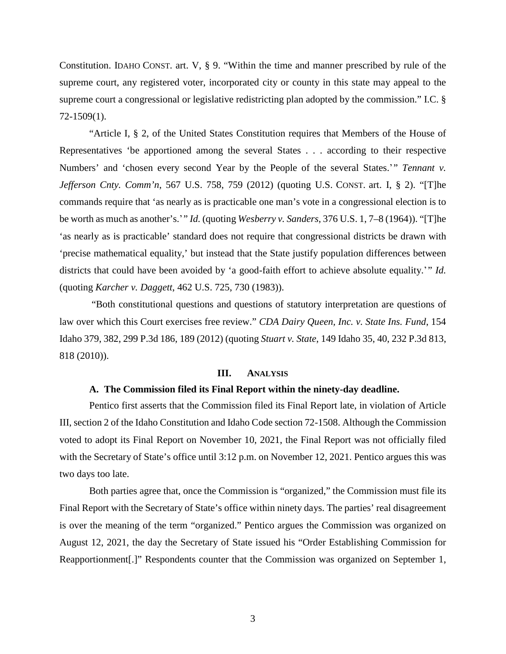Constitution. IDAHO CONST. art. V, § 9. "Within the time and manner prescribed by rule of the supreme court, any registered voter, incorporated city or county in this state may appeal to the supreme court a congressional or legislative redistricting plan adopted by the commission." I.C. § 72-1509(1).

"Article I, § 2, of the United States Constitution requires that Members of the House of Representatives 'be apportioned among the several States . . . according to their respective Numbers' and 'chosen every second Year by the People of the several States.'" *Tennant v. Jefferson Cnty. Comm'n*, 567 U.S. 758, 759 (2012) (quoting U.S. CONST. art. I, § 2). "[T]he commands require that 'as nearly as is practicable one man's vote in a congressional election is to be worth as much as another's.' " *Id.* (quoting *Wesberry v. Sanders*, 376 U.S. 1, 7–8 (1964)). "[T]he 'as nearly as is practicable' standard does not require that congressional districts be drawn with 'precise mathematical equality,' but instead that the State justify population differences between districts that could have been avoided by 'a good-faith effort to achieve absolute equality.'" *Id.* (quoting *Karcher v. Daggett*, 462 U.S. 725, 730 (1983)).

"Both constitutional questions and questions of statutory interpretation are questions of law over which this Court exercises free review." *CDA Dairy Queen, Inc. v. State Ins. Fund*, 154 Idaho 379, 382, 299 P.3d 186, 189 (2012) (quoting *Stuart v. State*, 149 Idaho 35, 40, 232 P.3d 813, 818 (2010)).

## **III. ANALYSIS**

## **A. The Commission filed its Final Report within the ninety-day deadline.**

Pentico first asserts that the Commission filed its Final Report late, in violation of Article III, section 2 of the Idaho Constitution and Idaho Code section 72-1508. Although the Commission voted to adopt its Final Report on November 10, 2021, the Final Report was not officially filed with the Secretary of State's office until 3:12 p.m. on November 12, 2021. Pentico argues this was two days too late.

Both parties agree that, once the Commission is "organized," the Commission must file its Final Report with the Secretary of State's office within ninety days. The parties' real disagreement is over the meaning of the term "organized." Pentico argues the Commission was organized on August 12, 2021, the day the Secretary of State issued his "Order Establishing Commission for Reapportionment[.]" Respondents counter that the Commission was organized on September 1,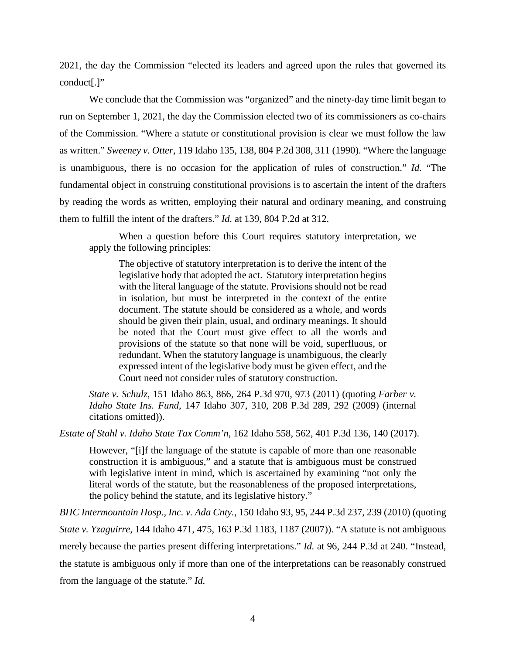2021, the day the Commission "elected its leaders and agreed upon the rules that governed its conduct[.]"

We conclude that the Commission was "organized" and the ninety-day time limit began to run on September 1, 2021, the day the Commission elected two of its commissioners as co-chairs of the Commission. "Where a statute or constitutional provision is clear we must follow the law as written." *Sweeney v. Otter*, 119 Idaho 135, 138, 804 P.2d 308, 311 (1990). "Where the language is unambiguous, there is no occasion for the application of rules of construction." *Id.* "The fundamental object in construing constitutional provisions is to ascertain the intent of the drafters by reading the words as written, employing their natural and ordinary meaning, and construing them to fulfill the intent of the drafters." *Id.* at 139, 804 P.2d at 312.

When a question before this Court requires statutory interpretation, we apply the following principles:

The objective of statutory interpretation is to derive the intent of the legislative body that adopted the act. Statutory interpretation begins with the literal language of the statute. Provisions should not be read in isolation, but must be interpreted in the context of the entire document. The statute should be considered as a whole, and words should be given their plain, usual, and ordinary meanings. It should be noted that the Court must give effect to all the words and provisions of the statute so that none will be void, superfluous, or redundant. When the statutory language is unambiguous, the clearly expressed intent of the legislative body must be given effect, and the Court need not consider rules of statutory construction.

*State v. Schulz*, 151 Idaho 863, 866, 264 P.3d 970, 973 (2011) (quoting *Farber v. Idaho State Ins. Fund*, 147 Idaho 307, 310, 208 P.3d 289, 292 (2009) (internal citations omitted)).

*Estate of Stahl v. Idaho State Tax Comm'n*, 162 Idaho 558, 562, 401 P.3d 136, 140 (2017).

However, "[i]f the language of the statute is capable of more than one reasonable construction it is ambiguous," and a statute that is ambiguous must be construed with legislative intent in mind, which is ascertained by examining "not only the literal words of the statute, but the reasonableness of the proposed interpretations, the policy behind the statute, and its legislative history."

*BHC Intermountain Hosp., Inc. v. Ada Cnty.*, 150 Idaho 93, 95, 244 P.3d 237, 239 (2010) (quoting *State v. Yzaguirre*, 144 Idaho 471, 475, 163 P.3d 1183, 1187 (2007)). "A statute is not ambiguous merely because the parties present differing interpretations." *Id.* at 96, 244 P.3d at 240. "Instead, the statute is ambiguous only if more than one of the interpretations can be reasonably construed from the language of the statute." *Id.*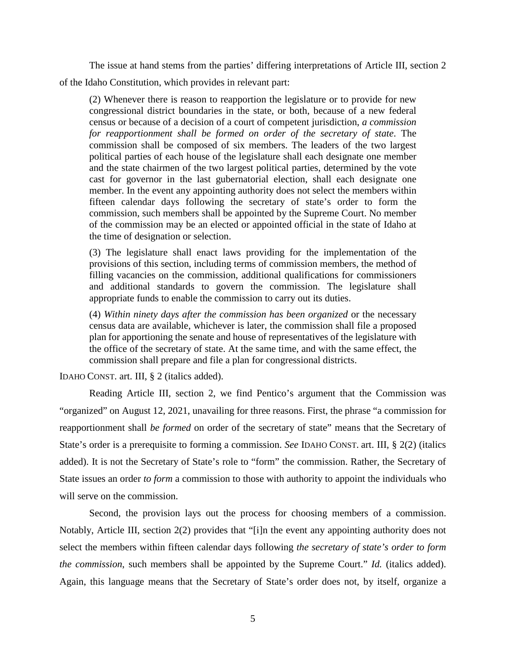The issue at hand stems from the parties' differing interpretations of Article III, section 2 of the Idaho Constitution, which provides in relevant part:

(2) Whenever there is reason to reapportion the legislature or to provide for new congressional district boundaries in the state, or both, because of a new federal census or because of a decision of a court of competent jurisdiction, *a commission for reapportionment shall be formed on order of the secretary of state*. The commission shall be composed of six members. The leaders of the two largest political parties of each house of the legislature shall each designate one member and the state chairmen of the two largest political parties, determined by the vote cast for governor in the last gubernatorial election, shall each designate one member. In the event any appointing authority does not select the members within fifteen calendar days following the secretary of state's order to form the commission, such members shall be appointed by the Supreme Court. No member of the commission may be an elected or appointed official in the state of Idaho at the time of designation or selection.

(3) The legislature shall enact laws providing for the implementation of the provisions of this section, including terms of commission members, the method of filling vacancies on the commission, additional qualifications for commissioners and additional standards to govern the commission. The legislature shall appropriate funds to enable the commission to carry out its duties.

(4) *Within ninety days after the commission has been organized* or the necessary census data are available, whichever is later, the commission shall file a proposed plan for apportioning the senate and house of representatives of the legislature with the office of the secretary of state. At the same time, and with the same effect, the commission shall prepare and file a plan for congressional districts.

IDAHO CONST. art. III, § 2 (italics added).

Reading Article III, section 2, we find Pentico's argument that the Commission was "organized" on August 12, 2021, unavailing for three reasons. First, the phrase "a commission for reapportionment shall *be formed* on order of the secretary of state" means that the Secretary of State's order is a prerequisite to forming a commission. *See* IDAHO CONST. art. III, § 2(2) (italics added). It is not the Secretary of State's role to "form" the commission. Rather, the Secretary of State issues an order *to form* a commission to those with authority to appoint the individuals who will serve on the commission.

Second, the provision lays out the process for choosing members of a commission. Notably, Article III, section 2(2) provides that "[i]n the event any appointing authority does not select the members within fifteen calendar days following *the secretary of state's order to form the commission*, such members shall be appointed by the Supreme Court." *Id.* (italics added). Again, this language means that the Secretary of State's order does not, by itself, organize a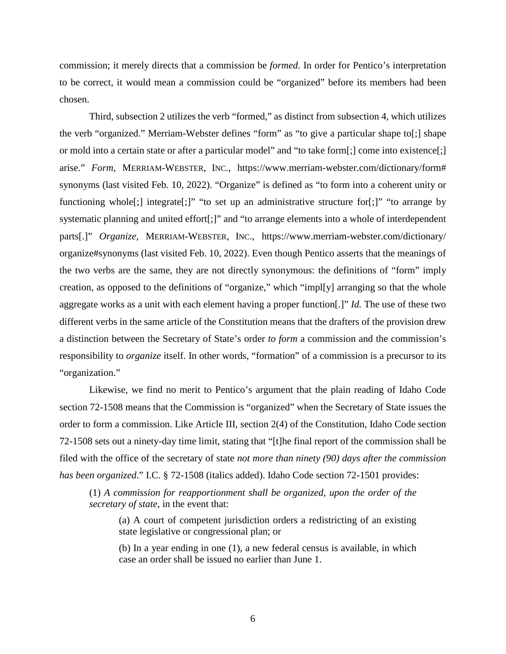commission; it merely directs that a commission be *formed*. In order for Pentico's interpretation to be correct, it would mean a commission could be "organized" before its members had been chosen.

Third, subsection 2 utilizes the verb "formed," as distinct from subsection 4, which utilizes the verb "organized." Merriam-Webster defines "form" as "to give a particular shape to[;] shape or mold into a certain state or after a particular model" and "to take form[;] come into existence[;] arise." *Form*, MERRIAM-WEBSTER, INC., https://www.merriam-webster.com/dictionary/form# synonyms (last visited Feb. 10, 2022). "Organize" is defined as "to form into a coherent unity or functioning whole<sup>[</sup>;] integrate<sup>[</sup>;]" "to set up an administrative structure for<sup>[</sup>;]" "to arrange by systematic planning and united effort[;]" and "to arrange elements into a whole of interdependent parts[.]" *Organize,* MERRIAM-WEBSTER, INC., https://www.merriam-webster.com/dictionary/ organize#synonyms (last visited Feb. 10, 2022). Even though Pentico asserts that the meanings of the two verbs are the same, they are not directly synonymous: the definitions of "form" imply creation, as opposed to the definitions of "organize," which "impl[y] arranging so that the whole aggregate works as a unit with each element having a proper function[.]" *Id.* The use of these two different verbs in the same article of the Constitution means that the drafters of the provision drew a distinction between the Secretary of State's order *to form* a commission and the commission's responsibility to *organize* itself. In other words, "formation" of a commission is a precursor to its "organization."

Likewise, we find no merit to Pentico's argument that the plain reading of Idaho Code section 72-1508 means that the Commission is "organized" when the Secretary of State issues the order to form a commission. Like Article III, section 2(4) of the Constitution, Idaho Code section 72-1508 sets out a ninety-day time limit, stating that "[t]he final report of the commission shall be filed with the office of the secretary of state *not more than ninety (90) days after the commission has been organized*." I.C. § 72-1508 (italics added). Idaho Code section 72-1501 provides:

(1) *A commission for reapportionment shall be organized, upon the order of the secretary of state*, in the event that:

(a) A court of competent jurisdiction orders a redistricting of an existing state legislative or congressional plan; or

(b) In a year ending in one (1), a new federal census is available, in which case an order shall be issued no earlier than June 1.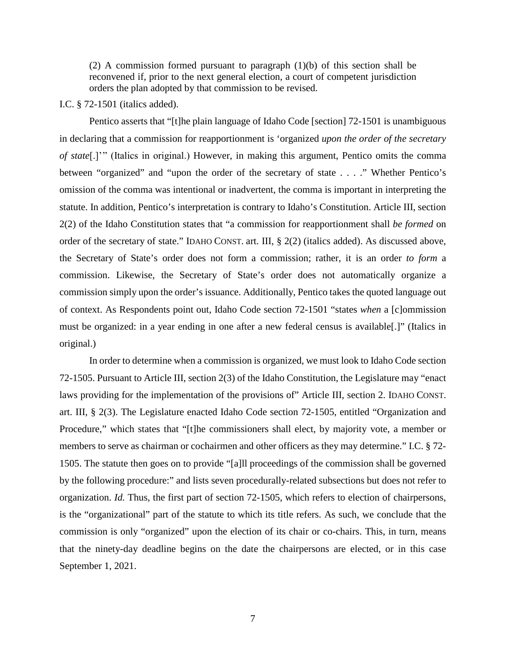(2) A commission formed pursuant to paragraph  $(1)(b)$  of this section shall be reconvened if, prior to the next general election, a court of competent jurisdiction orders the plan adopted by that commission to be revised.

#### I.C. § 72-1501 (italics added).

Pentico asserts that "[t]he plain language of Idaho Code [section] 72-1501 is unambiguous in declaring that a commission for reapportionment is 'organized *upon the order of the secretary of state*[.]' " (Italics in original.) However, in making this argument, Pentico omits the comma between "organized" and "upon the order of the secretary of state . . . ." Whether Pentico's omission of the comma was intentional or inadvertent, the comma is important in interpreting the statute. In addition, Pentico's interpretation is contrary to Idaho's Constitution. Article III, section 2(2) of the Idaho Constitution states that "a commission for reapportionment shall *be formed* on order of the secretary of state." IDAHO CONST. art. III, § 2(2) (italics added). As discussed above, the Secretary of State's order does not form a commission; rather, it is an order *to form* a commission. Likewise, the Secretary of State's order does not automatically organize a commission simply upon the order's issuance. Additionally, Pentico takes the quoted language out of context. As Respondents point out, Idaho Code section 72-1501 "states *when* a [c]ommission must be organized: in a year ending in one after a new federal census is available[.]" (Italics in original.)

In order to determine when a commission is organized, we must look to Idaho Code section 72-1505. Pursuant to Article III, section 2(3) of the Idaho Constitution, the Legislature may "enact laws providing for the implementation of the provisions of" Article III, section 2. IDAHO CONST. art. III, § 2(3). The Legislature enacted Idaho Code section 72-1505, entitled "Organization and Procedure," which states that "[t]he commissioners shall elect, by majority vote, a member or members to serve as chairman or cochairmen and other officers as they may determine." I.C. § 72- 1505. The statute then goes on to provide "[a]ll proceedings of the commission shall be governed by the following procedure:" and lists seven procedurally-related subsections but does not refer to organization. *Id.* Thus, the first part of section 72-1505, which refers to election of chairpersons, is the "organizational" part of the statute to which its title refers. As such, we conclude that the commission is only "organized" upon the election of its chair or co-chairs. This, in turn, means that the ninety-day deadline begins on the date the chairpersons are elected, or in this case September 1, 2021.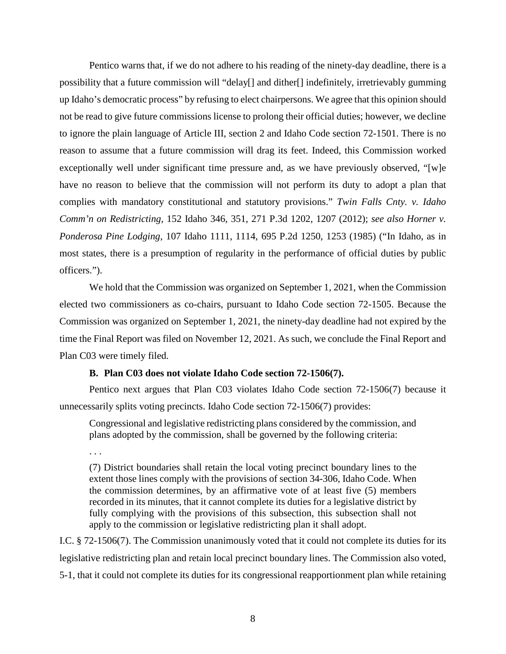Pentico warns that, if we do not adhere to his reading of the ninety-day deadline, there is a possibility that a future commission will "delay[] and dither[] indefinitely, irretrievably gumming up Idaho's democratic process" by refusing to elect chairpersons. We agree that this opinion should not be read to give future commissions license to prolong their official duties; however, we decline to ignore the plain language of Article III, section 2 and Idaho Code section 72-1501. There is no reason to assume that a future commission will drag its feet. Indeed, this Commission worked exceptionally well under significant time pressure and, as we have previously observed, "[w]e have no reason to believe that the commission will not perform its duty to adopt a plan that complies with mandatory constitutional and statutory provisions." *Twin Falls Cnty. v. Idaho Comm'n on Redistricting*, 152 Idaho 346, 351, 271 P.3d 1202, 1207 (2012); *see also Horner v. Ponderosa Pine Lodging*, 107 Idaho 1111, 1114, 695 P.2d 1250, 1253 (1985) ("In Idaho, as in most states, there is a presumption of regularity in the performance of official duties by public officers.").

We hold that the Commission was organized on September 1, 2021, when the Commission elected two commissioners as co-chairs, pursuant to Idaho Code section 72-1505. Because the Commission was organized on September 1, 2021, the ninety-day deadline had not expired by the time the Final Report was filed on November 12, 2021. As such, we conclude the Final Report and Plan C03 were timely filed.

### **B. Plan C03 does not violate Idaho Code section 72-1506(7).**

Pentico next argues that Plan C03 violates Idaho Code section 72-1506(7) because it unnecessarily splits voting precincts. Idaho Code section 72-1506(7) provides:

Congressional and legislative redistricting plans considered by the commission, and plans adopted by the commission, shall be governed by the following criteria:

. . .

(7) District boundaries shall retain the local voting precinct boundary lines to the extent those lines comply with the provisions of section 34-306, Idaho Code. When the commission determines, by an affirmative vote of at least five (5) members recorded in its minutes, that it cannot complete its duties for a legislative district by fully complying with the provisions of this subsection, this subsection shall not apply to the commission or legislative redistricting plan it shall adopt.

I.C. § 72-1506(7). The Commission unanimously voted that it could not complete its duties for its legislative redistricting plan and retain local precinct boundary lines. The Commission also voted, 5-1, that it could not complete its duties for its congressional reapportionment plan while retaining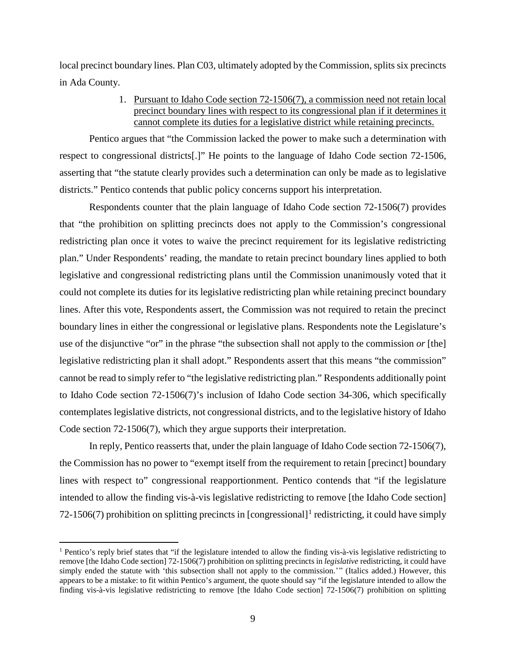local precinct boundary lines. Plan C03, ultimately adopted by the Commission, splits six precincts in Ada County.

# 1. Pursuant to Idaho Code section 72-1506(7), a commission need not retain local precinct boundary lines with respect to its congressional plan if it determines it cannot complete its duties for a legislative district while retaining precincts.

Pentico argues that "the Commission lacked the power to make such a determination with respect to congressional districts[.]" He points to the language of Idaho Code section 72-1506, asserting that "the statute clearly provides such a determination can only be made as to legislative districts." Pentico contends that public policy concerns support his interpretation.

Respondents counter that the plain language of Idaho Code section 72-1506(7) provides that "the prohibition on splitting precincts does not apply to the Commission's congressional redistricting plan once it votes to waive the precinct requirement for its legislative redistricting plan." Under Respondents' reading, the mandate to retain precinct boundary lines applied to both legislative and congressional redistricting plans until the Commission unanimously voted that it could not complete its duties for its legislative redistricting plan while retaining precinct boundary lines. After this vote, Respondents assert, the Commission was not required to retain the precinct boundary lines in either the congressional or legislative plans. Respondents note the Legislature's use of the disjunctive "or" in the phrase "the subsection shall not apply to the commission *or* [the] legislative redistricting plan it shall adopt." Respondents assert that this means "the commission" cannot be read to simply refer to "the legislative redistricting plan." Respondents additionally point to Idaho Code section 72-1506(7)'s inclusion of Idaho Code section 34-306, which specifically contemplates legislative districts, not congressional districts, and to the legislative history of Idaho Code section 72-1506(7), which they argue supports their interpretation.

In reply, Pentico reasserts that, under the plain language of Idaho Code section 72-1506(7), the Commission has no power to "exempt itself from the requirement to retain [precinct] boundary lines with respect to" congressional reapportionment. Pentico contends that "if the legislature intended to allow the finding vis-à-vis legislative redistricting to remove [the Idaho Code section] 72-[1](#page-8-0)506(7) prohibition on splitting precincts in [congressional]<sup>1</sup> redistricting, it could have simply

<span id="page-8-0"></span> <sup>1</sup> Pentico's reply brief states that "if the legislature intended to allow the finding vis-à-vis legislative redistricting to remove [the Idaho Code section] 72-1506(7) prohibition on splitting precincts in *legislative* redistricting, it could have simply ended the statute with 'this subsection shall not apply to the commission.'" (Italics added.) However, this appears to be a mistake: to fit within Pentico's argument, the quote should say "if the legislature intended to allow the finding vis-à-vis legislative redistricting to remove [the Idaho Code section] 72-1506(7) prohibition on splitting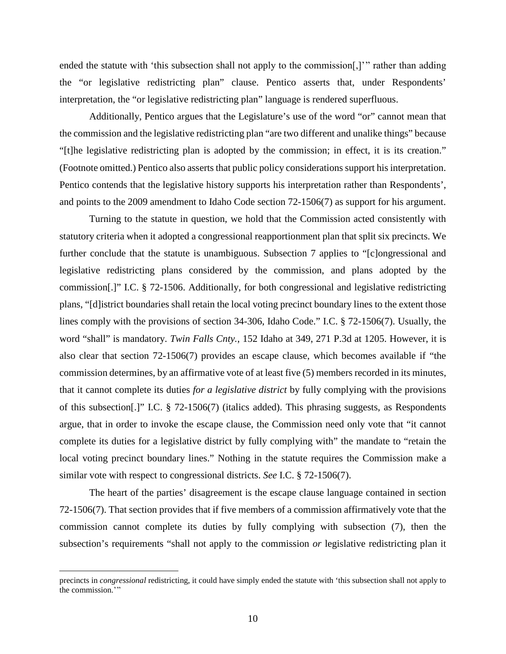ended the statute with 'this subsection shall not apply to the commission[,]" rather than adding the "or legislative redistricting plan" clause. Pentico asserts that, under Respondents' interpretation, the "or legislative redistricting plan" language is rendered superfluous.

Additionally, Pentico argues that the Legislature's use of the word "or" cannot mean that the commission and the legislative redistricting plan "are two different and unalike things" because "[t]he legislative redistricting plan is adopted by the commission; in effect, it is its creation." (Footnote omitted.) Pentico also asserts that public policy considerations support his interpretation. Pentico contends that the legislative history supports his interpretation rather than Respondents', and points to the 2009 amendment to Idaho Code section 72-1506(7) as support for his argument.

Turning to the statute in question, we hold that the Commission acted consistently with statutory criteria when it adopted a congressional reapportionment plan that split six precincts. We further conclude that the statute is unambiguous. Subsection 7 applies to "[c]ongressional and legislative redistricting plans considered by the commission, and plans adopted by the commission[.]" I.C. § 72-1506. Additionally, for both congressional and legislative redistricting plans, "[d]istrict boundaries shall retain the local voting precinct boundary lines to the extent those lines comply with the provisions of section 34-306, Idaho Code." I.C. § 72-1506(7). Usually, the word "shall" is mandatory. *Twin Falls Cnty.*, 152 Idaho at 349, 271 P.3d at 1205. However, it is also clear that section 72-1506(7) provides an escape clause, which becomes available if "the commission determines, by an affirmative vote of at least five (5) members recorded in its minutes, that it cannot complete its duties *for a legislative district* by fully complying with the provisions of this subsection[.]" I.C. § 72-1506(7) (italics added). This phrasing suggests, as Respondents argue, that in order to invoke the escape clause, the Commission need only vote that "it cannot complete its duties for a legislative district by fully complying with" the mandate to "retain the local voting precinct boundary lines." Nothing in the statute requires the Commission make a similar vote with respect to congressional districts. *See* I.C. § 72-1506(7).

The heart of the parties' disagreement is the escape clause language contained in section 72-1506(7). That section provides that if five members of a commission affirmatively vote that the commission cannot complete its duties by fully complying with subsection (7), then the subsection's requirements "shall not apply to the commission *or* legislative redistricting plan it

 $\overline{a}$ 

precincts in *congressional* redistricting, it could have simply ended the statute with 'this subsection shall not apply to the commission."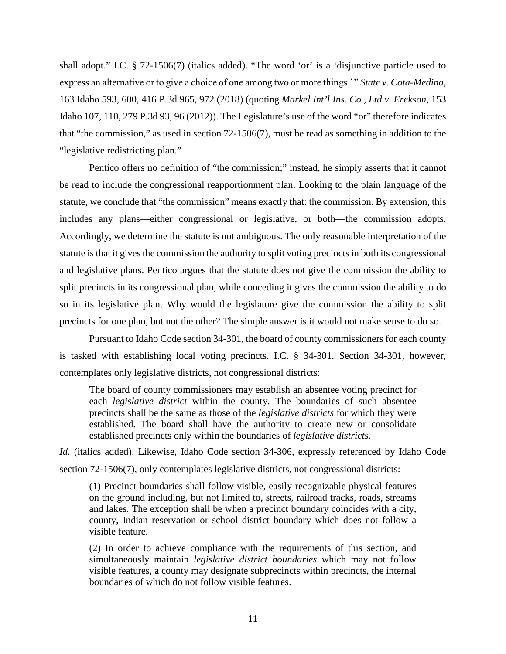shall adopt." I.C. § 72-1506(7) (italics added). "The word 'or' is a 'disjunctive particle used to express an alternative or to give a choice of one among two or more things.' " *State v. Cota-Medina*, 163 Idaho 593, 600, 416 P.3d 965, 972 (2018) (quoting *Markel Int'l Ins. Co., Ltd v. Erekson*, 153 Idaho 107, 110, 279 P.3d 93, 96 (2012)). The Legislature's use of the word "or" therefore indicates that "the commission," as used in section 72-1506(7), must be read as something in addition to the "legislative redistricting plan."

Pentico offers no definition of "the commission;" instead, he simply asserts that it cannot be read to include the congressional reapportionment plan. Looking to the plain language of the statute, we conclude that "the commission" means exactly that: the commission. By extension, this includes any plans—either congressional or legislative, or both—the commission adopts. Accordingly, we determine the statute is not ambiguous. The only reasonable interpretation of the statute is that it gives the commission the authority to split voting precincts in both its congressional and legislative plans. Pentico argues that the statute does not give the commission the ability to split precincts in its congressional plan, while conceding it gives the commission the ability to do so in its legislative plan. Why would the legislature give the commission the ability to split precincts for one plan, but not the other? The simple answer is it would not make sense to do so.

Pursuant to Idaho Code section 34-301, the board of county commissioners for each county is tasked with establishing local voting precincts. I.C. § 34-301. Section 34-301, however, contemplates only legislative districts, not congressional districts:

The board of county commissioners may establish an absentee voting precinct for each *legislative district* within the county. The boundaries of such absentee precincts shall be the same as those of the *legislative districts* for which they were established. The board shall have the authority to create new or consolidate established precincts only within the boundaries of *legislative districts*.

*Id.* (italics added). Likewise, Idaho Code section 34-306, expressly referenced by Idaho Code section 72-1506(7), only contemplates legislative districts, not congressional districts:

(1) Precinct boundaries shall follow visible, easily recognizable physical features on the ground including, but not limited to, streets, railroad tracks, roads, streams and lakes. The exception shall be when a precinct boundary coincides with a city, county, Indian reservation or school district boundary which does not follow a visible feature.

(2) In order to achieve compliance with the requirements of this section, and simultaneously maintain *legislative district boundaries* which may not follow visible features, a county may designate subprecincts within precincts, the internal boundaries of which do not follow visible features.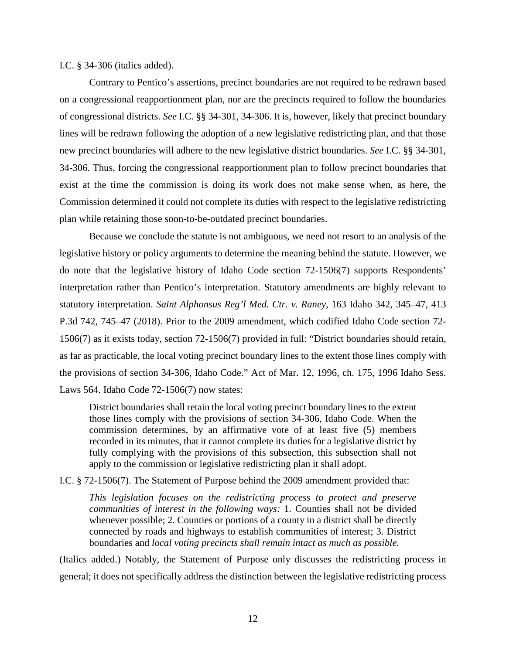### I.C. § 34-306 (italics added).

Contrary to Pentico's assertions, precinct boundaries are not required to be redrawn based on a congressional reapportionment plan, nor are the precincts required to follow the boundaries of congressional districts. *See* I.C. §§ 34-301, 34-306. It is, however, likely that precinct boundary lines will be redrawn following the adoption of a new legislative redistricting plan, and that those new precinct boundaries will adhere to the new legislative district boundaries. *See* I.C. §§ 34-301, 34-306. Thus, forcing the congressional reapportionment plan to follow precinct boundaries that exist at the time the commission is doing its work does not make sense when, as here, the Commission determined it could not complete its duties with respect to the legislative redistricting plan while retaining those soon-to-be-outdated precinct boundaries.

Because we conclude the statute is not ambiguous, we need not resort to an analysis of the legislative history or policy arguments to determine the meaning behind the statute. However, we do note that the legislative history of Idaho Code section 72-1506(7) supports Respondents' interpretation rather than Pentico's interpretation. Statutory amendments are highly relevant to statutory interpretation. *Saint Alphonsus Reg'l Med. Ctr. v. Raney*, 163 Idaho 342, 345–47, 413 P.3d 742, 745–47 (2018). Prior to the 2009 amendment, which codified Idaho Code section 72- 1506(7) as it exists today, section 72-1506(7) provided in full: "District boundaries should retain, as far as practicable, the local voting precinct boundary lines to the extent those lines comply with the provisions of section 34-306, Idaho Code." Act of Mar. 12, 1996, ch. 175, 1996 Idaho Sess. Laws 564. Idaho Code 72-1506(7) now states:

District boundaries shall retain the local voting precinct boundary lines to the extent those lines comply with the provisions of section 34-306, Idaho Code. When the commission determines, by an affirmative vote of at least five (5) members recorded in its minutes, that it cannot complete its duties for a legislative district by fully complying with the provisions of this subsection, this subsection shall not apply to the commission or legislative redistricting plan it shall adopt.

I.C. § 72-1506(7). The Statement of Purpose behind the 2009 amendment provided that:

*This legislation focuses on the redistricting process to protect and preserve communities of interest in the following ways:* 1. Counties shall not be divided whenever possible; 2. Counties or portions of a county in a district shall be directly connected by roads and highways to establish communities of interest; 3. District boundaries and *local voting precincts shall remain intact as much as possible.*

(Italics added.) Notably, the Statement of Purpose only discusses the redistricting process in general; it does not specifically address the distinction between the legislative redistricting process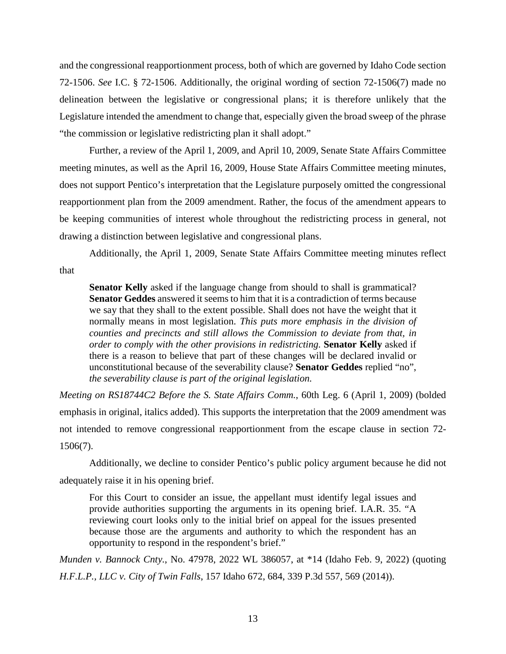and the congressional reapportionment process, both of which are governed by Idaho Code section 72-1506. *See* I.C. § 72-1506. Additionally, the original wording of section 72-1506(7) made no delineation between the legislative or congressional plans; it is therefore unlikely that the Legislature intended the amendment to change that, especially given the broad sweep of the phrase "the commission or legislative redistricting plan it shall adopt."

Further, a review of the April 1, 2009, and April 10, 2009, Senate State Affairs Committee meeting minutes, as well as the April 16, 2009, House State Affairs Committee meeting minutes, does not support Pentico's interpretation that the Legislature purposely omitted the congressional reapportionment plan from the 2009 amendment. Rather, the focus of the amendment appears to be keeping communities of interest whole throughout the redistricting process in general, not drawing a distinction between legislative and congressional plans.

Additionally, the April 1, 2009, Senate State Affairs Committee meeting minutes reflect that

**Senator Kelly** asked if the language change from should to shall is grammatical? **Senator Geddes** answered it seems to him that it is a contradiction of terms because we say that they shall to the extent possible. Shall does not have the weight that it normally means in most legislation. *This puts more emphasis in the division of counties and precincts and still allows the Commission to deviate from that, in order to comply with the other provisions in redistricting.* **Senator Kelly** asked if there is a reason to believe that part of these changes will be declared invalid or unconstitutional because of the severability clause? **Senator Geddes** replied "no", *the severability clause is part of the original legislation.*

*Meeting on RS18744C2 Before the S. State Affairs Comm.*, 60th Leg. 6 (April 1, 2009) (bolded emphasis in original, italics added). This supports the interpretation that the 2009 amendment was not intended to remove congressional reapportionment from the escape clause in section 72- 1506(7).

Additionally, we decline to consider Pentico's public policy argument because he did not adequately raise it in his opening brief.

For this Court to consider an issue, the appellant must identify legal issues and provide authorities supporting the arguments in its opening brief. I.A.R. 35. "A reviewing court looks only to the initial brief on appeal for the issues presented because those are the arguments and authority to which the respondent has an opportunity to respond in the respondent's brief."

*Munden v. Bannock Cnty.*, No. 47978, 2022 WL 386057, at \*14 (Idaho Feb. 9, 2022) (quoting *H.F.L.P., LLC v. City of Twin Falls*, 157 Idaho 672, 684, 339 P.3d 557, 569 (2014)).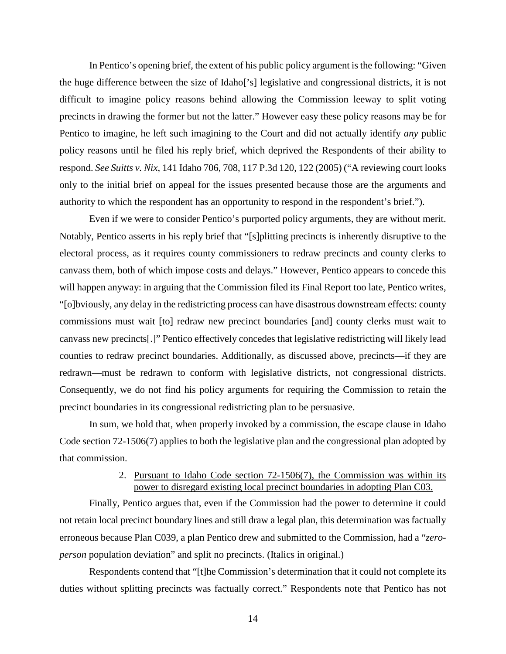In Pentico's opening brief, the extent of his public policy argument is the following: "Given the huge difference between the size of Idaho['s] legislative and congressional districts, it is not difficult to imagine policy reasons behind allowing the Commission leeway to split voting precincts in drawing the former but not the latter." However easy these policy reasons may be for Pentico to imagine, he left such imagining to the Court and did not actually identify *any* public policy reasons until he filed his reply brief, which deprived the Respondents of their ability to respond. *See Suitts v. Nix*, 141 Idaho 706, 708, 117 P.3d 120, 122 (2005) ("A reviewing court looks only to the initial brief on appeal for the issues presented because those are the arguments and authority to which the respondent has an opportunity to respond in the respondent's brief.").

Even if we were to consider Pentico's purported policy arguments, they are without merit. Notably, Pentico asserts in his reply brief that "[s]plitting precincts is inherently disruptive to the electoral process, as it requires county commissioners to redraw precincts and county clerks to canvass them, both of which impose costs and delays." However, Pentico appears to concede this will happen anyway: in arguing that the Commission filed its Final Report too late, Pentico writes, "[o]bviously, any delay in the redistricting process can have disastrous downstream effects: county commissions must wait [to] redraw new precinct boundaries [and] county clerks must wait to canvass new precincts[.]" Pentico effectively concedes that legislative redistricting will likely lead counties to redraw precinct boundaries. Additionally, as discussed above, precincts—if they are redrawn—must be redrawn to conform with legislative districts, not congressional districts. Consequently, we do not find his policy arguments for requiring the Commission to retain the precinct boundaries in its congressional redistricting plan to be persuasive.

In sum, we hold that, when properly invoked by a commission, the escape clause in Idaho Code section 72-1506(7) applies to both the legislative plan and the congressional plan adopted by that commission.

## 2. Pursuant to Idaho Code section 72-1506(7), the Commission was within its power to disregard existing local precinct boundaries in adopting Plan C03.

Finally, Pentico argues that, even if the Commission had the power to determine it could not retain local precinct boundary lines and still draw a legal plan, this determination was factually erroneous because Plan C039, a plan Pentico drew and submitted to the Commission, had a "*zeroperson* population deviation" and split no precincts. (Italics in original.)

Respondents contend that "[t]he Commission's determination that it could not complete its duties without splitting precincts was factually correct." Respondents note that Pentico has not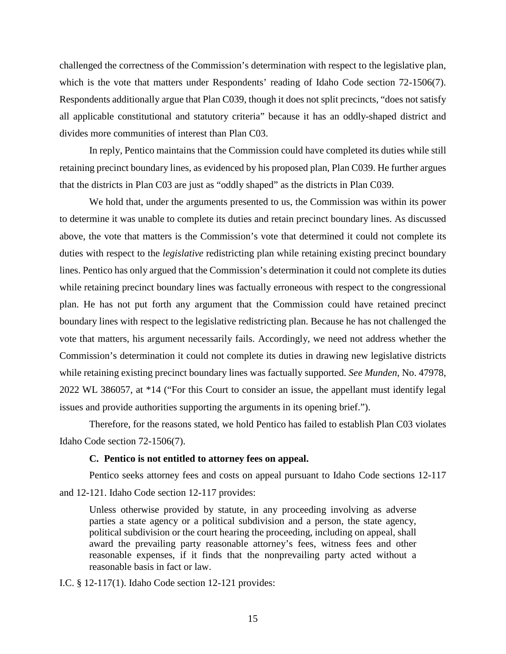challenged the correctness of the Commission's determination with respect to the legislative plan, which is the vote that matters under Respondents' reading of Idaho Code section 72-1506(7). Respondents additionally argue that Plan C039, though it does not split precincts, "does not satisfy all applicable constitutional and statutory criteria" because it has an oddly-shaped district and divides more communities of interest than Plan C03.

In reply, Pentico maintains that the Commission could have completed its duties while still retaining precinct boundary lines, as evidenced by his proposed plan, Plan C039. He further argues that the districts in Plan C03 are just as "oddly shaped" as the districts in Plan C039.

We hold that, under the arguments presented to us, the Commission was within its power to determine it was unable to complete its duties and retain precinct boundary lines. As discussed above, the vote that matters is the Commission's vote that determined it could not complete its duties with respect to the *legislative* redistricting plan while retaining existing precinct boundary lines. Pentico has only argued that the Commission's determination it could not complete its duties while retaining precinct boundary lines was factually erroneous with respect to the congressional plan. He has not put forth any argument that the Commission could have retained precinct boundary lines with respect to the legislative redistricting plan. Because he has not challenged the vote that matters, his argument necessarily fails. Accordingly, we need not address whether the Commission's determination it could not complete its duties in drawing new legislative districts while retaining existing precinct boundary lines was factually supported. *See Munden*, No. 47978, 2022 WL 386057, at \*14 ("For this Court to consider an issue, the appellant must identify legal issues and provide authorities supporting the arguments in its opening brief.").

Therefore, for the reasons stated, we hold Pentico has failed to establish Plan C03 violates Idaho Code section 72-1506(7).

### **C. Pentico is not entitled to attorney fees on appeal.**

Pentico seeks attorney fees and costs on appeal pursuant to Idaho Code sections 12-117 and 12-121. Idaho Code section 12-117 provides:

Unless otherwise provided by statute, in any proceeding involving as adverse parties a state agency or a political subdivision and a person, the state agency, political subdivision or the court hearing the proceeding, including on appeal, shall award the prevailing party reasonable attorney's fees, witness fees and other reasonable expenses, if it finds that the nonprevailing party acted without a reasonable basis in fact or law.

I.C. § 12-117(1). Idaho Code section 12-121 provides: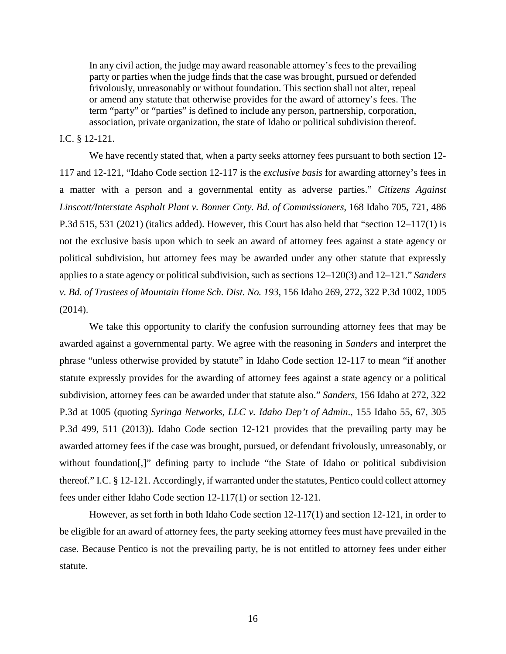In any civil action, the judge may award reasonable attorney's fees to the prevailing party or parties when the judge finds that the case was brought, pursued or defended frivolously, unreasonably or without foundation. This section shall not alter, repeal or amend any statute that otherwise provides for the award of attorney's fees. The term "party" or "parties" is defined to include any person, partnership, corporation, association, private organization, the state of Idaho or political subdivision thereof.

### I.C. § 12-121.

We have recently stated that, when a party seeks attorney fees pursuant to both section 12- 117 and 12-121, "Idaho Code section 12-117 is the *exclusive basis* for awarding attorney's fees in a matter with a person and a governmental entity as adverse parties." *Citizens Against Linscott/Interstate Asphalt Plant v. Bonner Cnty. Bd. of Commissioners*, 168 Idaho 705, 721, 486 P.3d 515, 531 (2021) (italics added). However, this Court has also held that "section 12–117(1) is not the exclusive basis upon which to seek an award of attorney fees against a state agency or political subdivision, but attorney fees may be awarded under any other statute that expressly applies to a state agency or political subdivision, such as sections 12–120(3) and 12–121." *Sanders v. Bd. of Trustees of Mountain Home Sch. Dist. No. 193*, 156 Idaho 269, 272, 322 P.3d 1002, 1005 (2014).

We take this opportunity to clarify the confusion surrounding attorney fees that may be awarded against a governmental party. We agree with the reasoning in *Sanders* and interpret the phrase "unless otherwise provided by statute" in Idaho Code section 12-117 to mean "if another statute expressly provides for the awarding of attorney fees against a state agency or a political subdivision, attorney fees can be awarded under that statute also." *Sanders*, 156 Idaho at 272, 322 P.3d at 1005 (quoting *Syringa Networks, LLC v. Idaho Dep't of Admin*., 155 Idaho 55, 67, 305 P.3d 499, 511 (2013)). Idaho Code section 12-121 provides that the prevailing party may be awarded attorney fees if the case was brought, pursued, or defendant frivolously, unreasonably, or without foundation[,]" defining party to include "the State of Idaho or political subdivision thereof." I.C. § 12-121. Accordingly, if warranted under the statutes, Pentico could collect attorney fees under either Idaho Code section 12-117(1) or section 12-121.

However, as set forth in both Idaho Code section 12-117(1) and section 12-121, in order to be eligible for an award of attorney fees, the party seeking attorney fees must have prevailed in the case. Because Pentico is not the prevailing party, he is not entitled to attorney fees under either statute.